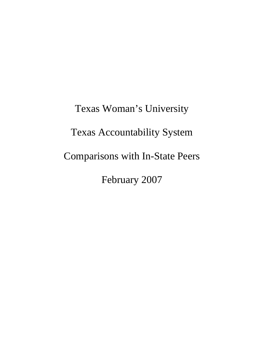Texas Woman's University Texas Accountability System Comparisons with In-State Peers February 2007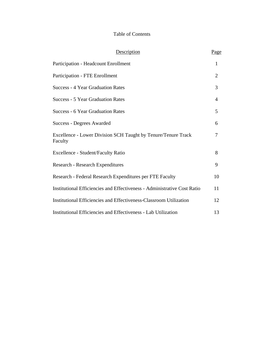# Table of Contents

| <b>Description</b>                                                       | Page           |
|--------------------------------------------------------------------------|----------------|
| Participation - Headcount Enrollment                                     | $\mathbf{1}$   |
| <b>Participation - FTE Enrollment</b>                                    | $\overline{2}$ |
| <b>Success - 4 Year Graduation Rates</b>                                 | 3              |
| <b>Success - 5 Year Graduation Rates</b>                                 | 4              |
| <b>Success - 6 Year Graduation Rates</b>                                 | 5              |
| Success - Degrees Awarded                                                | 6              |
| Excellence - Lower Division SCH Taught by Tenure/Tenure Track<br>Faculty | 7              |
| Excellence - Student/Faculty Ratio                                       | 8              |
| Research - Research Expenditures                                         | 9              |
| Research - Federal Research Expenditures per FTE Faculty                 | 10             |
| Institutional Efficiencies and Effectiveness - Administrative Cost Ratio | 11             |
| Institutional Efficiencies and Effectiveness-Classroom Utilization       | 12             |
| Institutional Efficiencies and Effectiveness - Lab Utilization           | 13             |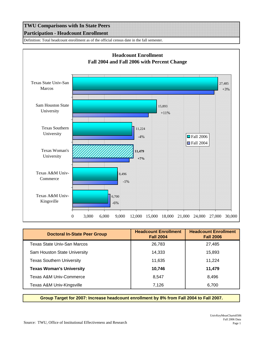## **TWU Comparisons with In State Peers Participation - Headcount Enrollment**

Definition: Total headcount enrollment as of the official census date in the fall semester.



| <b>Doctoral In-State Peer Group</b> | <b>Headcount Enrollment</b><br><b>Fall 2004</b> | <b>Headcount Enrollment</b><br><b>Fall 2006</b> |
|-------------------------------------|-------------------------------------------------|-------------------------------------------------|
| Texas State Univ-San Marcos         | 26,783                                          | 27,485                                          |
| Sam Houston State University        | 14.333                                          | 15,893                                          |
| <b>Texas Southern University</b>    | 11,635                                          | 11.224                                          |
| <b>Texas Woman's University</b>     | 10,746                                          | 11,479                                          |
| Texas A&M Univ-Commerce             | 8,547                                           | 8.496                                           |
| Texas A&M Univ-Kingsville           | 7,126                                           | 6,700                                           |

**Group Target for 2007: Increase headcount enrollment by 8% from Fall 2004 to Fall 2007.**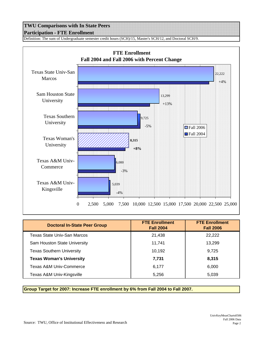## **TWU Comparisons with In State Peers Participation - FTE Enrollment**

Definition: The sum of Undergraduate semester credit hours (SCH)/15, Master's SCH/12, and Doctoral SCH/9.



| <b>Doctoral In-State Peer Group</b> | <b>FTE Enrollment</b><br><b>Fall 2004</b> | <b>FTE Enrollment</b><br><b>Fall 2006</b> |
|-------------------------------------|-------------------------------------------|-------------------------------------------|
| Texas State Univ-San Marcos         | 21,438                                    | 22,222                                    |
| Sam Houston State University        | 11.741                                    | 13,299                                    |
| <b>Texas Southern University</b>    | 10,192                                    | 9,725                                     |
| <b>Texas Woman's University</b>     | 7,731                                     | 8,315                                     |
| Texas A&M Univ-Commerce             | 6,177                                     | 6.000                                     |
| Texas A&M Univ-Kingsville           | 5,256                                     | 5,039                                     |

**Group Target for 2007: Increase FTE enrollment by 6% from Fall 2004 to Fall 2007.**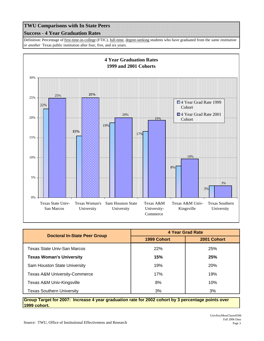#### **Success - 4 Year Graduation Rates**

Definition: Percentage of first-time-in-college (FTIC), full-time, degree-seeking students who have graduated from the *same institution or another* Texas public institution after four, five, and six years.



| <b>Doctoral In-State Peer Group</b>      | 4 Year Grad Rate |             |
|------------------------------------------|------------------|-------------|
|                                          | 1999 Cohort      | 2001 Cohort |
| Texas State Univ-San Marcos              | 22%              | 25%         |
| <b>Texas Woman's University</b>          | 15%              | 25%         |
| Sam Houston State University             | 19%              | 20%         |
| <b>Texas A&amp;M University-Commerce</b> | 17%              | 19%         |
| Texas A&M Univ-Kingsville                | 8%               | 10%         |
| <b>Texas Southern University</b>         | 3%               | 3%          |

**Group Target for 2007: Increase 4 year graduation rate for 2002 cohort by 3 percentage points over 1999 cohort.**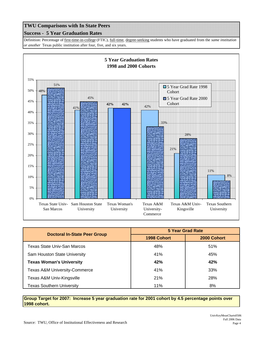#### **Success - 5 Year Graduation Rates**

Definition: Percentage of first-time-in-college (FTIC), full-time, degree-seeking students who have graduated from the *same institution or another* Texas public institution after four, five, and six years.



| <b>Doctoral In-State Peer Group</b>      | <b>5 Year Grad Rate</b> |             |
|------------------------------------------|-------------------------|-------------|
|                                          | 1998 Cohort             | 2000 Cohort |
| Texas State Univ-San Marcos              | 48%                     | 51%         |
| Sam Houston State University             | 41%                     | 45%         |
| <b>Texas Woman's University</b>          | 42%                     | 42%         |
| <b>Texas A&amp;M University-Commerce</b> | 41%                     | 33%         |
| Texas A&M Univ-Kingsville                | <b>21%</b>              | 28%         |
| <b>Texas Southern University</b>         | 11%                     | 8%          |

**Group Target for 2007: Increase 5 year graduation rate for 2001 cohort by 4.5 percentage points over 1998 cohort.**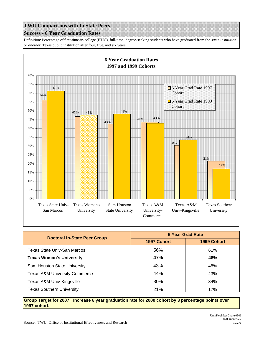#### **Success - 6 Year Graduation Rates**

Definition: Percentage of first-time-in-college (FTIC), full-time, degree-seeking students who have graduated from the *same institution or another* Texas public institution after four, five, and six years.



| <b>Doctoral In-State Peer Group</b>      | <b>6 Year Grad Rate</b> |             |
|------------------------------------------|-------------------------|-------------|
|                                          | 1997 Cohort             | 1999 Cohort |
| Texas State Univ-San Marcos              | 56%                     | 61%         |
| <b>Texas Woman's University</b>          | 47%                     | 48%         |
| Sam Houston State University             | 43%                     | 48%         |
| <b>Texas A&amp;M University-Commerce</b> | 44%                     | 43%         |
| Texas A&M Univ-Kingsville                | 30%                     | 34%         |
| <b>Texas Southern University</b>         | 21%                     | 17%         |

**Group Target for 2007: Increase 6 year graduation rate for 2000 cohort by 3 percentage points over 1997 cohort.**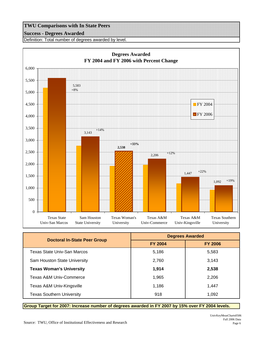### **Success - Degrees Awarded**

Definition: Total number of degrees awarded by level.



| <b>Doctoral In-State Peer Group</b> | <b>Degrees Awarded</b> |                |
|-------------------------------------|------------------------|----------------|
|                                     | <b>FY 2004</b>         | <b>FY 2006</b> |
| Texas State Univ-San Marcos         | 5,186                  | 5,583          |
| Sam Houston State University        | 2,760                  | 3,143          |
| <b>Texas Woman's University</b>     | 1,914                  | 2,538          |
| Texas A&M Univ-Commerce             | 1,965                  | 2,206          |
| Texas A&M Univ-Kingsville           | 1,186                  | 1.447          |
| <b>Texas Southern University</b>    | 918                    | 1,092          |

**Group Target for 2007: Increase number of degrees awarded in FY 2007 by 15% over FY 2004 levels.**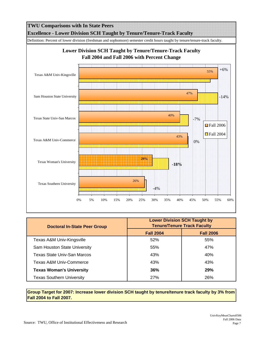

| <b>Doctoral In-State Peer Group</b> | <b>Lower Division SCH Taught by</b><br><b>Tenure/Tenure Track Faculty</b> |                  |
|-------------------------------------|---------------------------------------------------------------------------|------------------|
|                                     | <b>Fall 2004</b>                                                          | <b>Fall 2006</b> |
| Texas A&M Univ-Kingsville           | 52%                                                                       | 55%              |
| Sam Houston State University        | 55%                                                                       | 47%              |
| Texas State Univ-San Marcos         | 43%                                                                       | 40%              |
| Texas A&M Univ-Commerce             | 43%                                                                       | 43%              |
| <b>Texas Woman's University</b>     | 36%                                                                       | <b>29%</b>       |
| <b>Texas Southern University</b>    | 27%                                                                       | 26%              |

**Group Target for 2007: Increase lower division SCH taught by tenure/tenure track faculty by 3% from Fall 2004 to Fall 2007.**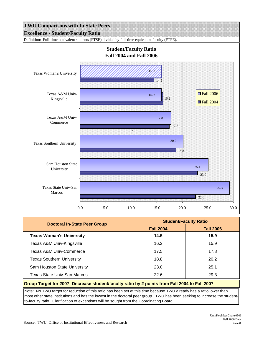

| <b>Doctoral In-State Peer Group</b>                                                            | <b>Student/Faculty Ratio</b> |                  |
|------------------------------------------------------------------------------------------------|------------------------------|------------------|
|                                                                                                | <b>Fall 2004</b>             | <b>Fall 2006</b> |
| <b>Texas Woman's University</b>                                                                | 14.5                         | 15.9             |
| Texas A&M Univ-Kingsville                                                                      | 16.2                         | 15.9             |
| Texas A&M Univ-Commerce                                                                        | 17.5                         | 17.8             |
| <b>Texas Southern University</b>                                                               | 18.8                         | 20.2             |
| Sam Houston State University                                                                   | 23.0                         | 25.1             |
| Texas State Univ-San Marcos                                                                    | 22.6                         | 29.3             |
| Group Target for 2007: Decrease student/faculty ratio by 2 points from Fall 2004 to Fall 2007. |                              |                  |

Note: No TWU target for reduction of this ratio has been set at this time because TWU already has a ratio lower than most other state institutions and has the lowest in the doctoral peer group. TWU has been seeking to increase the studentto-faculty ratio. Clarification of exceptions will be sought from the Coordinating Board.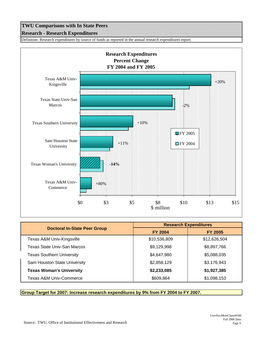## **TWU Comparisons with In State Peers Research - Research Expenditures**

Definition: Research expenditures by source of funds as reported in the annual research expenditures report.



|                                     | <b>Research Expenditures</b> |                |
|-------------------------------------|------------------------------|----------------|
| <b>Doctoral In-State Peer Group</b> | <b>FY 2004</b>               | <b>FY 2005</b> |
| Texas A&M Univ-Kingsville           | \$10,536,809                 | \$12,626,504   |
| Texas State Univ-San Marcos         | \$9,129,998                  | \$8,897,766    |
| <b>Texas Southern University</b>    | \$4,647,980                  | \$5,088,035    |
| Sam Houston State University        | \$2,858,129                  | \$3,176,943    |
| <b>Texas Woman's University</b>     | \$2,233,085                  | \$1,927,385    |
| <b>Texas A&amp;M Univ-Commerce</b>  | \$609,864                    | \$1,098,153    |

**Group Target for 2007: Increase research expenditures by 9% from FY 2004 to FY 2007.**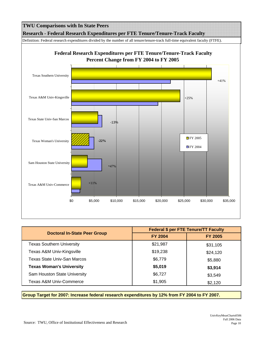

|                                     | <b>Federal \$ per FTE Tenure/TT Faculty</b> |                |
|-------------------------------------|---------------------------------------------|----------------|
| <b>Doctoral In-State Peer Group</b> | <b>FY 2004</b>                              | <b>FY 2005</b> |
| <b>Texas Southern University</b>    | \$21,987                                    | \$31,105       |
| Texas A&M Univ-Kingsville           | \$19,238                                    | \$24,120       |
| Texas State Univ-San Marcos         | \$6,779                                     | \$5,880        |
| <b>Texas Woman's University</b>     | \$5,019                                     | \$3,914        |
| Sam Houston State University        | \$6,727                                     | \$3,549        |
| <b>Texas A&amp;M Univ-Commerce</b>  | \$1,905                                     | \$2,120        |

**Group Target for 2007: Increase federal research expenditures by 12% from FY 2004 to FY 2007.**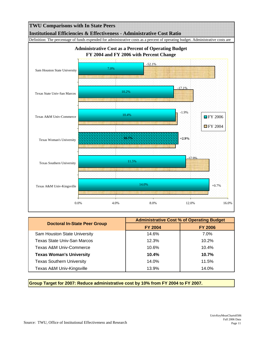

|                                     | <b>Administrative Cost % of Operating Budget</b> |                |
|-------------------------------------|--------------------------------------------------|----------------|
| <b>Doctoral In-State Peer Group</b> | <b>FY 2004</b>                                   | <b>FY 2006</b> |
| Sam Houston State University        | 14.6%                                            | 7.0%           |
| Texas State Univ-San Marcos         | 12.3%                                            | 10.2%          |
| Texas A&M Univ-Commerce             | 10.6%                                            | $10.4\%$       |
| <b>Texas Woman's University</b>     | 10.4%                                            | 10.7%          |
| <b>Texas Southern University</b>    | 14.0%                                            | 11.5%          |
| Texas A&M Univ-Kingsville           | 13.9%                                            | 14.0%          |

**Group Target for 2007: Reduce administrative cost by 10% from FY 2004 to FY 2007.**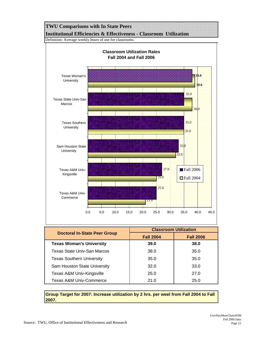

**Group Target for 2007: Increase utilization by 2 hrs. per weel from Fall 2004 to Fall 2007.**